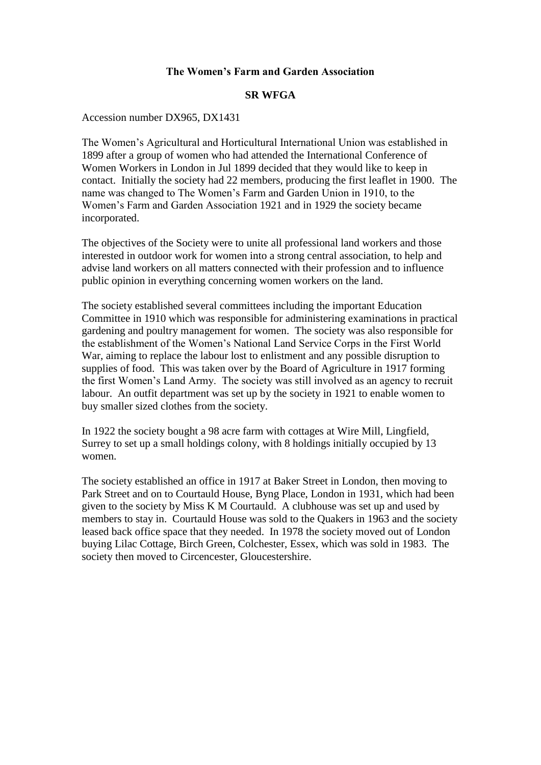## **The Women's Farm and Garden Association**

## **SR WFGA**

Accession number DX965, DX1431

The Women's Agricultural and Horticultural International Union was established in 1899 after a group of women who had attended the International Conference of Women Workers in London in Jul 1899 decided that they would like to keep in contact. Initially the society had 22 members, producing the first leaflet in 1900. The name was changed to The Women's Farm and Garden Union in 1910, to the Women's Farm and Garden Association 1921 and in 1929 the society became incorporated.

The objectives of the Society were to unite all professional land workers and those interested in outdoor work for women into a strong central association, to help and advise land workers on all matters connected with their profession and to influence public opinion in everything concerning women workers on the land.

The society established several committees including the important Education Committee in 1910 which was responsible for administering examinations in practical gardening and poultry management for women. The society was also responsible for the establishment of the Women's National Land Service Corps in the First World War, aiming to replace the labour lost to enlistment and any possible disruption to supplies of food. This was taken over by the Board of Agriculture in 1917 forming the first Women's Land Army. The society was still involved as an agency to recruit labour. An outfit department was set up by the society in 1921 to enable women to buy smaller sized clothes from the society.

In 1922 the society bought a 98 acre farm with cottages at Wire Mill, Lingfield, Surrey to set up a small holdings colony, with 8 holdings initially occupied by 13 women.

The society established an office in 1917 at Baker Street in London, then moving to Park Street and on to Courtauld House, Byng Place, London in 1931, which had been given to the society by Miss K M Courtauld. A clubhouse was set up and used by members to stay in. Courtauld House was sold to the Quakers in 1963 and the society leased back office space that they needed. In 1978 the society moved out of London buying Lilac Cottage, Birch Green, Colchester, Essex, which was sold in 1983. The society then moved to Circencester, Gloucestershire.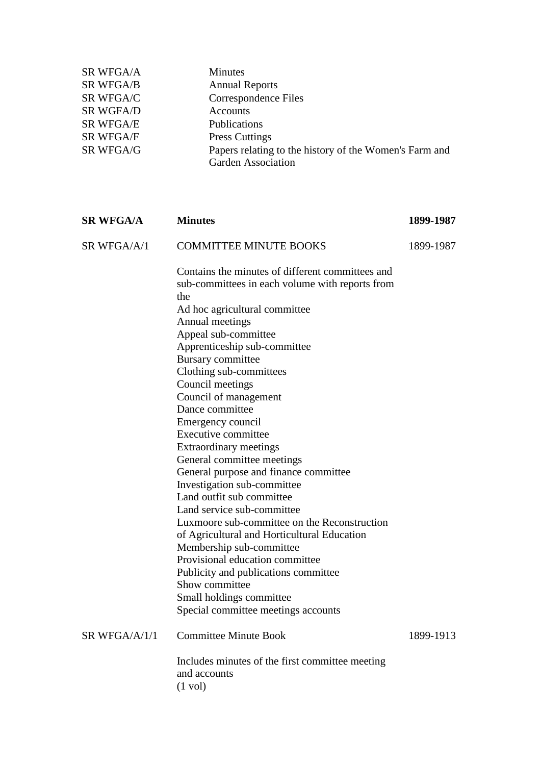| <b>SR WFGA/A</b> | <b>Minutes</b>                                         |
|------------------|--------------------------------------------------------|
| <b>SR WFGA/B</b> | <b>Annual Reports</b>                                  |
| SR WFGA/C        | Correspondence Files                                   |
| <b>SR WGFA/D</b> | Accounts                                               |
| <b>SR WFGA/E</b> | Publications                                           |
| <b>SR WFGA/F</b> | <b>Press Cuttings</b>                                  |
| SR WFGA/G        | Papers relating to the history of the Women's Farm and |
|                  | <b>Garden Association</b>                              |
|                  |                                                        |

| <b>SR WFGA/A</b> | <b>Minutes</b>                                                                                             | 1899-1987 |
|------------------|------------------------------------------------------------------------------------------------------------|-----------|
| SR WFGA/A/1      | <b>COMMITTEE MINUTE BOOKS</b>                                                                              | 1899-1987 |
|                  | Contains the minutes of different committees and<br>sub-committees in each volume with reports from<br>the |           |
|                  | Ad hoc agricultural committee                                                                              |           |
|                  | Annual meetings                                                                                            |           |
|                  | Appeal sub-committee                                                                                       |           |
|                  | Apprenticeship sub-committee                                                                               |           |
|                  | <b>Bursary</b> committee                                                                                   |           |
|                  | Clothing sub-committees                                                                                    |           |
|                  | Council meetings                                                                                           |           |
|                  | Council of management                                                                                      |           |
|                  | Dance committee                                                                                            |           |
|                  | Emergency council                                                                                          |           |
|                  | Executive committee                                                                                        |           |
|                  | Extraordinary meetings                                                                                     |           |
|                  | General committee meetings                                                                                 |           |
|                  | General purpose and finance committee                                                                      |           |
|                  | Investigation sub-committee                                                                                |           |
|                  | Land outfit sub committee                                                                                  |           |
|                  | Land service sub-committee                                                                                 |           |
|                  | Luxmoore sub-committee on the Reconstruction                                                               |           |
|                  | of Agricultural and Horticultural Education                                                                |           |
|                  | Membership sub-committee                                                                                   |           |
|                  | Provisional education committee                                                                            |           |
|                  | Publicity and publications committee                                                                       |           |
|                  | Show committee                                                                                             |           |
|                  | Small holdings committee                                                                                   |           |
|                  | Special committee meetings accounts                                                                        |           |
| SR WFGA/A/1/1    | <b>Committee Minute Book</b>                                                                               | 1899-1913 |
|                  | Includes minutes of the first committee meeting<br>and accounts<br>$(1 \text{ vol})$                       |           |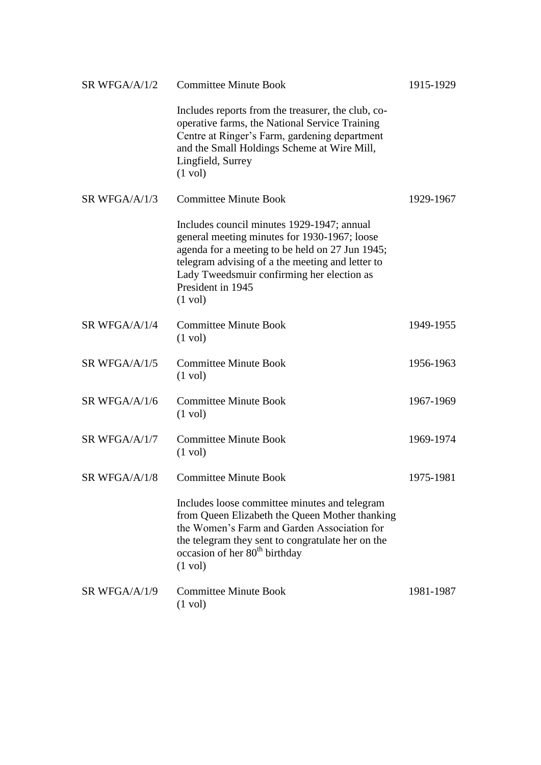| SR WFGA/A/1/2 | <b>Committee Minute Book</b>                                                                                                                                                                                                                                                              | 1915-1929 |
|---------------|-------------------------------------------------------------------------------------------------------------------------------------------------------------------------------------------------------------------------------------------------------------------------------------------|-----------|
|               | Includes reports from the treasurer, the club, co-<br>operative farms, the National Service Training<br>Centre at Ringer's Farm, gardening department<br>and the Small Holdings Scheme at Wire Mill,<br>Lingfield, Surrey<br>$(1 \text{ vol})$                                            |           |
| SR WFGA/A/1/3 | <b>Committee Minute Book</b>                                                                                                                                                                                                                                                              | 1929-1967 |
|               | Includes council minutes 1929-1947; annual<br>general meeting minutes for 1930-1967; loose<br>agenda for a meeting to be held on 27 Jun 1945;<br>telegram advising of a the meeting and letter to<br>Lady Tweedsmuir confirming her election as<br>President in 1945<br>$(1 \text{ vol})$ |           |
| SR WFGA/A/1/4 | <b>Committee Minute Book</b><br>$(1 \text{ vol})$                                                                                                                                                                                                                                         | 1949-1955 |
| SR WFGA/A/1/5 | <b>Committee Minute Book</b><br>$(1 \text{ vol})$                                                                                                                                                                                                                                         | 1956-1963 |
| SR WFGA/A/1/6 | <b>Committee Minute Book</b><br>$(1 \text{ vol})$                                                                                                                                                                                                                                         | 1967-1969 |
| SR WFGA/A/1/7 | <b>Committee Minute Book</b><br>$(1 \text{ vol})$                                                                                                                                                                                                                                         | 1969-1974 |
| SR WFGA/A/1/8 | <b>Committee Minute Book</b>                                                                                                                                                                                                                                                              | 1975-1981 |
|               | Includes loose committee minutes and telegram<br>from Queen Elizabeth the Queen Mother thanking<br>the Women's Farm and Garden Association for<br>the telegram they sent to congratulate her on the<br>occasion of her 80 <sup>th</sup> birthday<br>$(1 \text{ vol})$                     |           |
| SR WFGA/A/1/9 | <b>Committee Minute Book</b><br>$(1 \text{ vol})$                                                                                                                                                                                                                                         | 1981-1987 |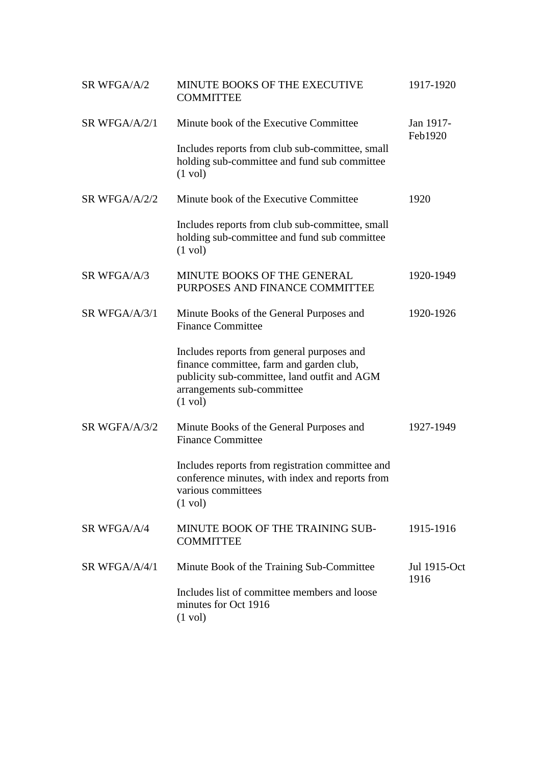| SR WFGA/A/2   | MINUTE BOOKS OF THE EXECUTIVE<br><b>COMMITTEE</b>                                                                                                                                         | 1917-1920            |
|---------------|-------------------------------------------------------------------------------------------------------------------------------------------------------------------------------------------|----------------------|
| SR WFGA/A/2/1 | Minute book of the Executive Committee                                                                                                                                                    | Jan 1917-<br>Feb1920 |
|               | Includes reports from club sub-committee, small<br>holding sub-committee and fund sub committee<br>$(1 \text{ vol})$                                                                      |                      |
| SR WFGA/A/2/2 | Minute book of the Executive Committee                                                                                                                                                    | 1920                 |
|               | Includes reports from club sub-committee, small<br>holding sub-committee and fund sub committee<br>$(1 \text{ vol})$                                                                      |                      |
| SR WFGA/A/3   | MINUTE BOOKS OF THE GENERAL<br>PURPOSES AND FINANCE COMMITTEE                                                                                                                             | 1920-1949            |
| SR WFGA/A/3/1 | Minute Books of the General Purposes and<br><b>Finance Committee</b>                                                                                                                      | 1920-1926            |
|               | Includes reports from general purposes and<br>finance committee, farm and garden club,<br>publicity sub-committee, land outfit and AGM<br>arrangements sub-committee<br>$(1 \text{ vol})$ |                      |
| SR WGFA/A/3/2 | Minute Books of the General Purposes and<br><b>Finance Committee</b>                                                                                                                      | 1927-1949            |
|               | Includes reports from registration committee and<br>conference minutes, with index and reports from<br>various committees<br>$(1 \text{ vol})$                                            |                      |
| SR WFGA/A/4   | MINUTE BOOK OF THE TRAINING SUB-<br><b>COMMITTEE</b>                                                                                                                                      | 1915-1916            |
| SR WFGA/A/4/1 | Minute Book of the Training Sub-Committee                                                                                                                                                 | Jul 1915-Oct<br>1916 |
|               | Includes list of committee members and loose<br>minutes for Oct 1916<br>$(1 \text{ vol})$                                                                                                 |                      |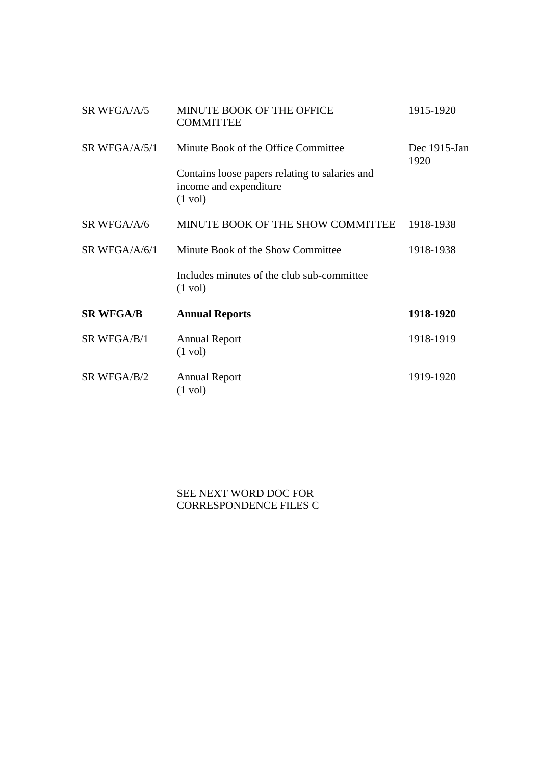| SR WFGA/A/5      | MINUTE BOOK OF THE OFFICE<br><b>COMMITTEE</b>                                                 | 1915-1920            |
|------------------|-----------------------------------------------------------------------------------------------|----------------------|
| SR WFGA/A/5/1    | Minute Book of the Office Committee                                                           | Dec 1915-Jan<br>1920 |
|                  | Contains loose papers relating to salaries and<br>income and expenditure<br>$(1 \text{ vol})$ |                      |
| SR WFGA/A/6      | MINUTE BOOK OF THE SHOW COMMITTEE                                                             | 1918-1938            |
| SR WFGA/A/6/1    | Minute Book of the Show Committee                                                             | 1918-1938            |
|                  | Includes minutes of the club sub-committee<br>$(1 \text{ vol})$                               |                      |
| <b>SR WFGA/B</b> | <b>Annual Reports</b>                                                                         | 1918-1920            |
| SR WFGA/B/1      | <b>Annual Report</b><br>$(1 \text{ vol})$                                                     | 1918-1919            |
| SR WFGA/B/2      | <b>Annual Report</b><br>$(1 \text{ vol})$                                                     | 1919-1920            |

SEE NEXT WORD DOC FOR CORRESPONDENCE FILES C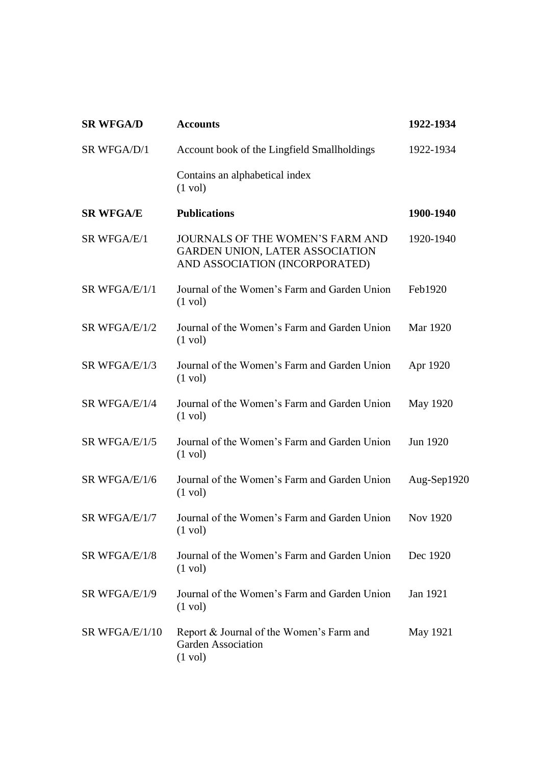| <b>SR WFGA/D</b> | <b>Accounts</b>                                                                                                     | 1922-1934       |
|------------------|---------------------------------------------------------------------------------------------------------------------|-----------------|
| SR WFGA/D/1      | Account book of the Lingfield Smallholdings                                                                         | 1922-1934       |
|                  | Contains an alphabetical index<br>$(1 \text{ vol})$                                                                 |                 |
| <b>SR WFGA/E</b> | <b>Publications</b>                                                                                                 | 1900-1940       |
| SR WFGA/E/1      | <b>JOURNALS OF THE WOMEN'S FARM AND</b><br><b>GARDEN UNION, LATER ASSOCIATION</b><br>AND ASSOCIATION (INCORPORATED) | 1920-1940       |
| SR WFGA/E/1/1    | Journal of the Women's Farm and Garden Union<br>$(1 \text{ vol})$                                                   | Feb1920         |
| SR WFGA/E/1/2    | Journal of the Women's Farm and Garden Union<br>$(1 \text{ vol})$                                                   | Mar 1920        |
| SR WFGA/E/1/3    | Journal of the Women's Farm and Garden Union<br>$(1 \text{ vol})$                                                   | Apr 1920        |
| SR WFGA/E/1/4    | Journal of the Women's Farm and Garden Union<br>$(1 \text{ vol})$                                                   | May 1920        |
| SR WFGA/E/1/5    | Journal of the Women's Farm and Garden Union<br>$(1 \text{ vol})$                                                   | Jun 1920        |
| SR WFGA/E/1/6    | Journal of the Women's Farm and Garden Union<br>$(1 \text{ vol})$                                                   | Aug-Sep1920     |
| SR WFGA/E/1/7    | Journal of the Women's Farm and Garden Union<br>$(1 \text{ vol})$                                                   | <b>Nov 1920</b> |
| SR WFGA/E/1/8    | Journal of the Women's Farm and Garden Union<br>$(1 \text{ vol})$                                                   | Dec 1920        |
| SR WFGA/E/1/9    | Journal of the Women's Farm and Garden Union<br>$(1 \text{ vol})$                                                   | Jan 1921        |
| SR WFGA/E/1/10   | Report & Journal of the Women's Farm and<br><b>Garden Association</b><br>$(1 \text{ vol})$                          | May 1921        |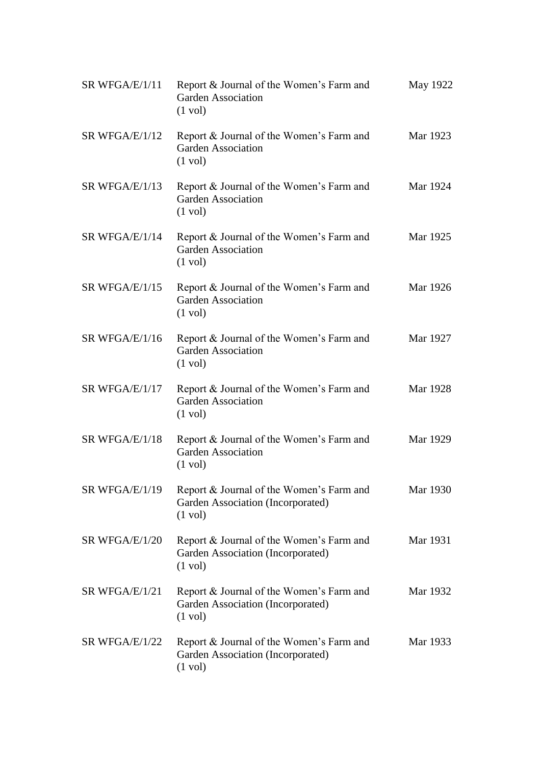| SR WFGA/E/1/11 | Report & Journal of the Women's Farm and<br><b>Garden Association</b><br>$(1 \text{ vol})$         | May 1922 |
|----------------|----------------------------------------------------------------------------------------------------|----------|
| SR WFGA/E/1/12 | Report & Journal of the Women's Farm and<br><b>Garden Association</b><br>$(1 \text{ vol})$         | Mar 1923 |
| SR WFGA/E/1/13 | Report & Journal of the Women's Farm and<br><b>Garden Association</b><br>$(1 \text{ vol})$         | Mar 1924 |
| SR WFGA/E/1/14 | Report & Journal of the Women's Farm and<br><b>Garden Association</b><br>$(1 \text{ vol})$         | Mar 1925 |
| SR WFGA/E/1/15 | Report & Journal of the Women's Farm and<br><b>Garden Association</b><br>$(1 \text{ vol})$         | Mar 1926 |
| SR WFGA/E/1/16 | Report & Journal of the Women's Farm and<br><b>Garden Association</b><br>$(1 \text{ vol})$         | Mar 1927 |
| SR WFGA/E/1/17 | Report & Journal of the Women's Farm and<br><b>Garden Association</b><br>$(1 \text{ vol})$         | Mar 1928 |
| SR WFGA/E/1/18 | Report & Journal of the Women's Farm and<br><b>Garden Association</b><br>$(1 \text{ vol})$         | Mar 1929 |
| SR WFGA/E/1/19 | Report & Journal of the Women's Farm and<br>Garden Association (Incorporated)<br>$(1 \text{ vol})$ | Mar 1930 |
| SR WFGA/E/1/20 | Report & Journal of the Women's Farm and<br>Garden Association (Incorporated)<br>$(1 \text{ vol})$ | Mar 1931 |
| SR WFGA/E/1/21 | Report & Journal of the Women's Farm and<br>Garden Association (Incorporated)<br>$(1 \text{ vol})$ | Mar 1932 |
| SR WFGA/E/1/22 | Report & Journal of the Women's Farm and<br>Garden Association (Incorporated)<br>$(1 \text{ vol})$ | Mar 1933 |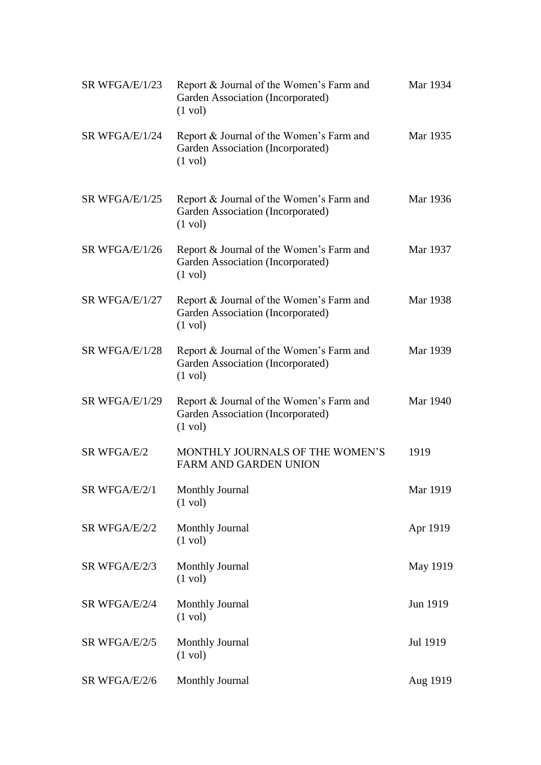| SR WFGA/E/1/23 | Report & Journal of the Women's Farm and<br>Garden Association (Incorporated)<br>$(1 \text{ vol})$ | Mar 1934 |
|----------------|----------------------------------------------------------------------------------------------------|----------|
| SR WFGA/E/1/24 | Report & Journal of the Women's Farm and<br>Garden Association (Incorporated)<br>$(1 \text{ vol})$ | Mar 1935 |
| SR WFGA/E/1/25 | Report & Journal of the Women's Farm and<br>Garden Association (Incorporated)<br>$(1 \text{ vol})$ | Mar 1936 |
| SR WFGA/E/1/26 | Report & Journal of the Women's Farm and<br>Garden Association (Incorporated)<br>$(1 \text{ vol})$ | Mar 1937 |
| SR WFGA/E/1/27 | Report & Journal of the Women's Farm and<br>Garden Association (Incorporated)<br>$(1 \text{ vol})$ | Mar 1938 |
| SR WFGA/E/1/28 | Report & Journal of the Women's Farm and<br>Garden Association (Incorporated)<br>$(1 \text{ vol})$ | Mar 1939 |
| SR WFGA/E/1/29 | Report & Journal of the Women's Farm and<br>Garden Association (Incorporated)<br>$(1 \text{ vol})$ | Mar 1940 |
| SR WFGA/E/2    | MONTHLY JOURNALS OF THE WOMEN'S<br><b>FARM AND GARDEN UNION</b>                                    | 1919     |
| SR WFGA/E/2/1  | <b>Monthly Journal</b><br>$(1 \text{ vol})$                                                        | Mar 1919 |
| SR WFGA/E/2/2  | <b>Monthly Journal</b><br>$(1 \text{ vol})$                                                        | Apr 1919 |
| SR WFGA/E/2/3  | <b>Monthly Journal</b><br>$(1 \text{ vol})$                                                        | May 1919 |
| SR WFGA/E/2/4  | <b>Monthly Journal</b><br>$(1 \text{ vol})$                                                        | Jun 1919 |
| SR WFGA/E/2/5  | <b>Monthly Journal</b><br>$(1 \text{ vol})$                                                        | Jul 1919 |
| SR WFGA/E/2/6  | <b>Monthly Journal</b>                                                                             | Aug 1919 |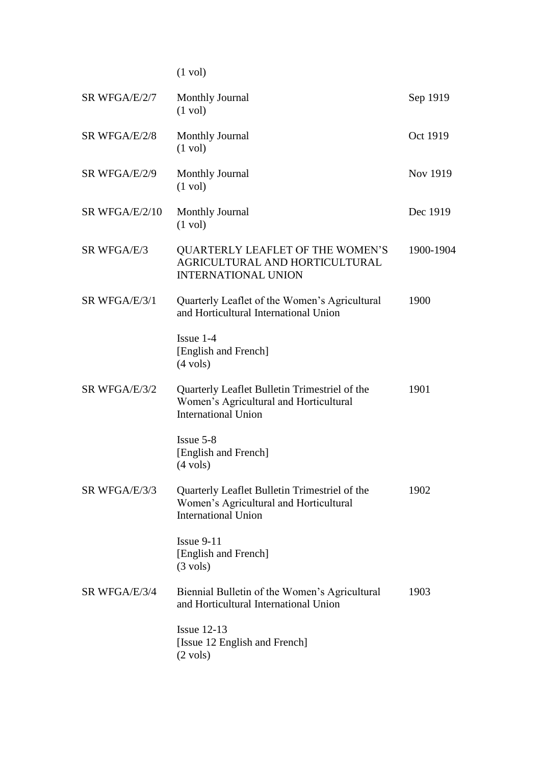(1 vol)

| SR WFGA/E/2/7  | <b>Monthly Journal</b><br>$(1 \text{ vol})$                                                                           | Sep 1919  |
|----------------|-----------------------------------------------------------------------------------------------------------------------|-----------|
| SR WFGA/E/2/8  | <b>Monthly Journal</b><br>$(1 \text{ vol})$                                                                           | Oct 1919  |
| SR WFGA/E/2/9  | <b>Monthly Journal</b><br>$(1 \text{ vol})$                                                                           | Nov 1919  |
| SR WFGA/E/2/10 | <b>Monthly Journal</b><br>$(1 \text{ vol})$                                                                           | Dec 1919  |
| SR WFGA/E/3    | <b>QUARTERLY LEAFLET OF THE WOMEN'S</b><br>AGRICULTURAL AND HORTICULTURAL<br><b>INTERNATIONAL UNION</b>               | 1900-1904 |
| SR WFGA/E/3/1  | Quarterly Leaflet of the Women's Agricultural<br>and Horticultural International Union                                | 1900      |
|                | $Issue 1-4$<br>[English and French]<br>$(4 \text{ vols})$                                                             |           |
| SR WFGA/E/3/2  | Quarterly Leaflet Bulletin Trimestriel of the<br>Women's Agricultural and Horticultural<br><b>International Union</b> | 1901      |
|                | Issue 5-8<br>[English and French]<br>$(4 \text{ vols})$                                                               |           |
| SR WFGA/E/3/3  | Quarterly Leaflet Bulletin Trimestriel of the<br>Women's Agricultural and Horticultural<br><b>International Union</b> | 1902      |
|                | $I$ ssue 9-11<br>[English and French]<br>$(3 \text{ vols})$                                                           |           |
| SR WFGA/E/3/4  | Biennial Bulletin of the Women's Agricultural<br>and Horticultural International Union                                | 1903      |
|                | Issue $12-13$<br>[Issue 12 English and French]<br>$(2 \text{ vols})$                                                  |           |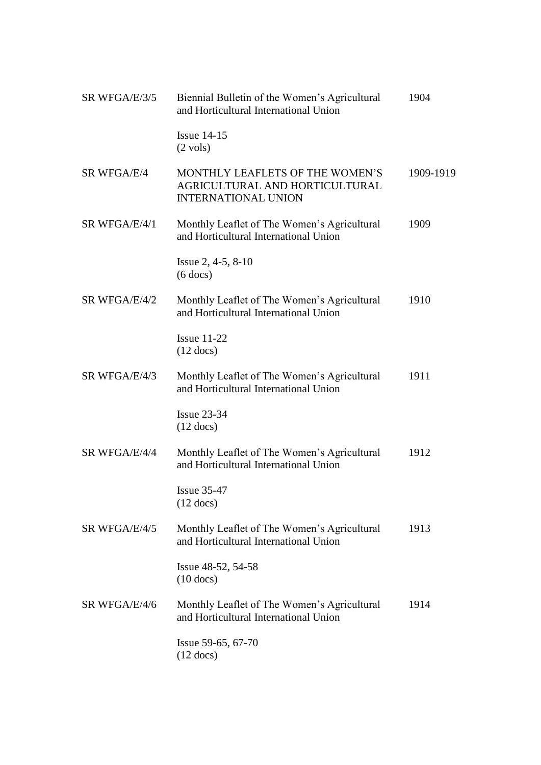| SR WFGA/E/3/5 | Biennial Bulletin of the Women's Agricultural<br>and Horticultural International Union          | 1904      |
|---------------|-------------------------------------------------------------------------------------------------|-----------|
|               | Issue $14-15$<br>$(2 \text{ vols})$                                                             |           |
| SR WFGA/E/4   | MONTHLY LEAFLETS OF THE WOMEN'S<br>AGRICULTURAL AND HORTICULTURAL<br><b>INTERNATIONAL UNION</b> | 1909-1919 |
| SR WFGA/E/4/1 | Monthly Leaflet of The Women's Agricultural<br>and Horticultural International Union            | 1909      |
|               | Issue $2, 4-5, 8-10$<br>$(6$ docs)                                                              |           |
| SR WFGA/E/4/2 | Monthly Leaflet of The Women's Agricultural<br>and Horticultural International Union            | 1910      |
|               | Issue $11-22$<br>$(12 \text{ docs})$                                                            |           |
| SR WFGA/E/4/3 | Monthly Leaflet of The Women's Agricultural<br>and Horticultural International Union            | 1911      |
|               | <b>Issue 23-34</b><br>$(12 \text{ docs})$                                                       |           |
| SR WFGA/E/4/4 | Monthly Leaflet of The Women's Agricultural<br>and Horticultural International Union            | 1912      |
|               | <b>Issue 35-47</b><br>$(12$ docs)                                                               |           |
| SR WFGA/E/4/5 | Monthly Leaflet of The Women's Agricultural<br>and Horticultural International Union            | 1913      |
|               | Issue 48-52, 54-58<br>$(10$ docs)                                                               |           |
| SR WFGA/E/4/6 | Monthly Leaflet of The Women's Agricultural<br>and Horticultural International Union            | 1914      |
|               | Issue 59-65, 67-70<br>$(12 \text{ docs})$                                                       |           |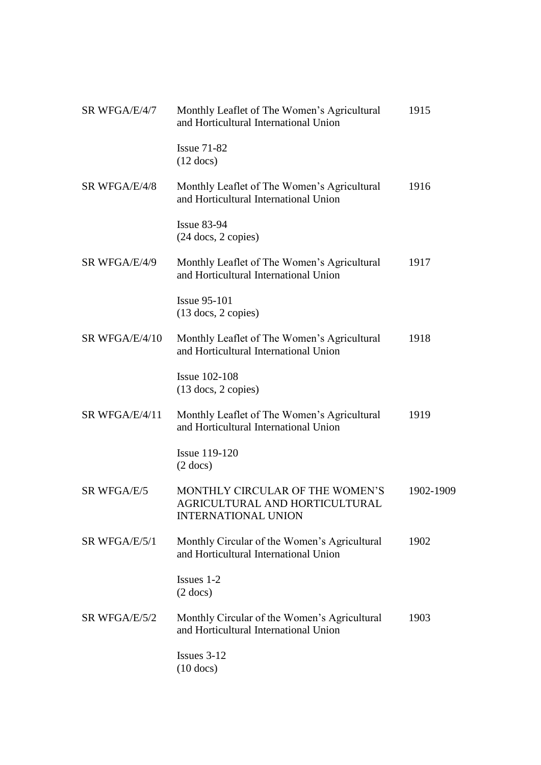| SR WFGA/E/4/7  | Monthly Leaflet of The Women's Agricultural<br>and Horticultural International Union            | 1915      |
|----------------|-------------------------------------------------------------------------------------------------|-----------|
|                | <b>Issue 71-82</b><br>$(12 \text{ docs})$                                                       |           |
| SR WFGA/E/4/8  | Monthly Leaflet of The Women's Agricultural<br>and Horticultural International Union            | 1916      |
|                | <b>Issue 83-94</b><br>$(24$ docs, 2 copies)                                                     |           |
| SR WFGA/E/4/9  | Monthly Leaflet of The Women's Agricultural<br>and Horticultural International Union            | 1917      |
|                | <b>Issue 95-101</b><br>$(13$ docs, 2 copies)                                                    |           |
| SR WFGA/E/4/10 | Monthly Leaflet of The Women's Agricultural<br>and Horticultural International Union            | 1918      |
|                | <b>Issue 102-108</b><br>$(13$ docs, 2 copies)                                                   |           |
| SR WFGA/E/4/11 | Monthly Leaflet of The Women's Agricultural<br>and Horticultural International Union            | 1919      |
|                | <b>Issue 119-120</b><br>$(2$ docs)                                                              |           |
| SR WFGA/E/5    | MONTHLY CIRCULAR OF THE WOMEN'S<br>AGRICULTURAL AND HORTICULTURAL<br><b>INTERNATIONAL UNION</b> | 1902-1909 |
| SR WFGA/E/5/1  | Monthly Circular of the Women's Agricultural<br>and Horticultural International Union           | 1902      |
|                | Issues 1-2<br>$(2$ docs)                                                                        |           |
| SR WFGA/E/5/2  | Monthly Circular of the Women's Agricultural<br>and Horticultural International Union           | 1903      |
|                | Issues $3-12$<br>$(10$ docs)                                                                    |           |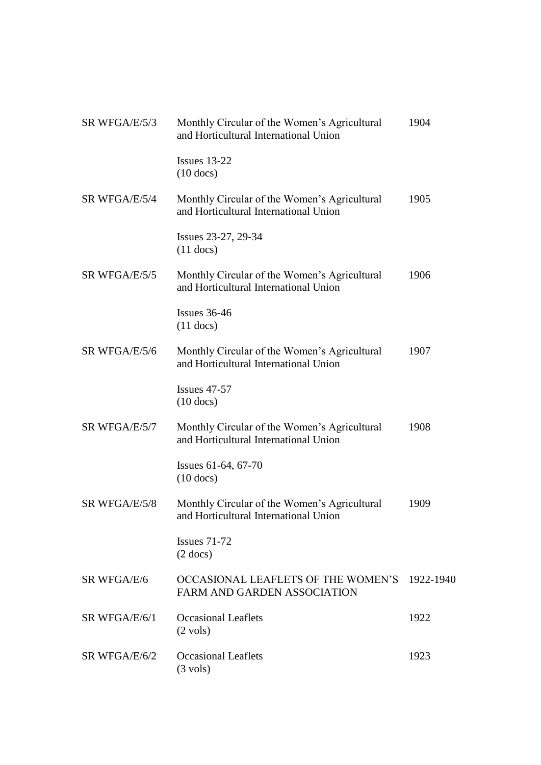| SR WFGA/E/5/3 | Monthly Circular of the Women's Agricultural<br>and Horticultural International Union | 1904 |
|---------------|---------------------------------------------------------------------------------------|------|
|               | Issues $13-22$<br>$(10$ docs)                                                         |      |
| SR WFGA/E/5/4 | Monthly Circular of the Women's Agricultural<br>and Horticultural International Union | 1905 |
|               | Issues 23-27, 29-34<br>$(11$ docs)                                                    |      |
| SR WFGA/E/5/5 | Monthly Circular of the Women's Agricultural<br>and Horticultural International Union | 1906 |
|               | Issues $36-46$<br>$(11$ docs)                                                         |      |
| SR WFGA/E/5/6 | Monthly Circular of the Women's Agricultural<br>and Horticultural International Union | 1907 |
|               | Issues $47-57$<br>$(10$ docs)                                                         |      |
| SR WFGA/E/5/7 | Monthly Circular of the Women's Agricultural<br>and Horticultural International Union | 1908 |
|               | Issues 61-64, 67-70<br>$(10$ docs)                                                    |      |
| SR WFGA/E/5/8 | Monthly Circular of the Women's Agricultural<br>and Horticultural International Union | 1909 |
|               | Issues $71-72$<br>$(2$ docs)                                                          |      |
| SR WFGA/E/6   | OCCASIONAL LEAFLETS OF THE WOMEN'S 1922-1940<br><b>FARM AND GARDEN ASSOCIATION</b>    |      |
| SR WFGA/E/6/1 | <b>Occasional Leaflets</b><br>$(2 \text{ vols})$                                      | 1922 |
| SR WFGA/E/6/2 | <b>Occasional Leaflets</b><br>$(3 \text{ vols})$                                      | 1923 |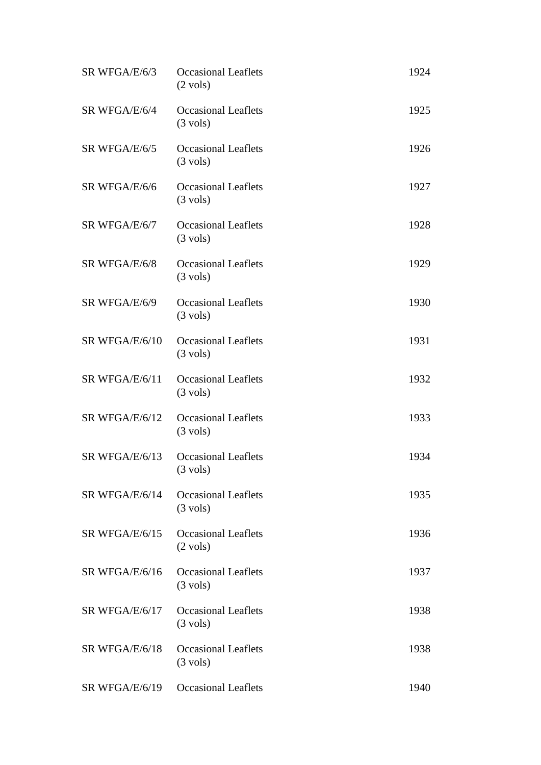| SR WFGA/E/6/3  | <b>Occasional Leaflets</b><br>$(2 \text{ vols})$ | 1924 |
|----------------|--------------------------------------------------|------|
| SR WFGA/E/6/4  | <b>Occasional Leaflets</b><br>$(3 \text{ vols})$ | 1925 |
| SR WFGA/E/6/5  | <b>Occasional Leaflets</b><br>$(3 \text{ vols})$ | 1926 |
| SR WFGA/E/6/6  | <b>Occasional Leaflets</b><br>$(3 \text{ vols})$ | 1927 |
| SR WFGA/E/6/7  | <b>Occasional Leaflets</b><br>$(3 \text{ vols})$ | 1928 |
| SR WFGA/E/6/8  | <b>Occasional Leaflets</b><br>$(3 \text{ vols})$ | 1929 |
| SR WFGA/E/6/9  | <b>Occasional Leaflets</b><br>$(3 \text{ vols})$ | 1930 |
| SR WFGA/E/6/10 | <b>Occasional Leaflets</b><br>$(3 \text{ vols})$ | 1931 |
| SR WFGA/E/6/11 | <b>Occasional Leaflets</b><br>$(3 \text{ vols})$ | 1932 |
| SR WFGA/E/6/12 | <b>Occasional Leaflets</b><br>$(3 \text{ vols})$ | 1933 |
| SR WFGA/E/6/13 | <b>Occasional Leaflets</b><br>$(3 \text{ vols})$ | 1934 |
| SR WFGA/E/6/14 | <b>Occasional Leaflets</b><br>$(3 \text{ vols})$ | 1935 |
| SR WFGA/E/6/15 | <b>Occasional Leaflets</b><br>$(2 \text{ vols})$ | 1936 |
| SR WFGA/E/6/16 | <b>Occasional Leaflets</b><br>$(3 \text{ vols})$ | 1937 |
| SR WFGA/E/6/17 | <b>Occasional Leaflets</b><br>$(3 \text{ vols})$ | 1938 |
| SR WFGA/E/6/18 | <b>Occasional Leaflets</b><br>$(3 \text{ vols})$ | 1938 |
| SR WFGA/E/6/19 | <b>Occasional Leaflets</b>                       | 1940 |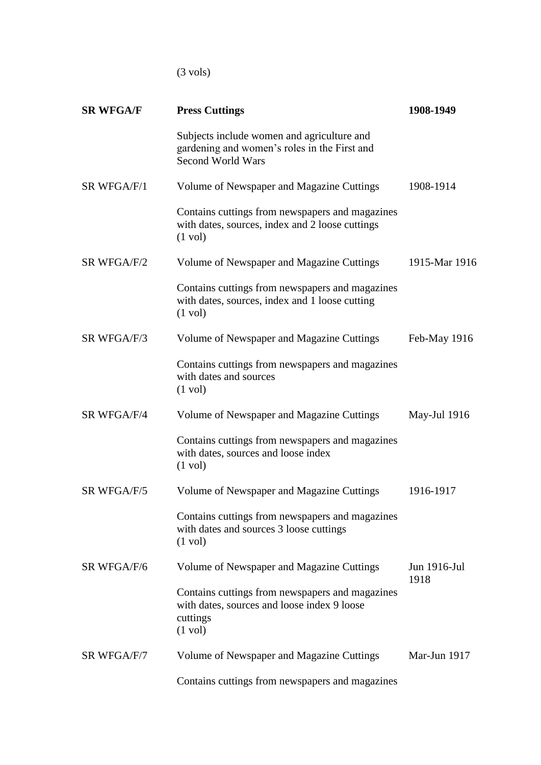(3 vols)

| <b>SR WFGA/F</b> | <b>Press Cuttings</b>                                                                                                           | 1908-1949            |
|------------------|---------------------------------------------------------------------------------------------------------------------------------|----------------------|
|                  | Subjects include women and agriculture and<br>gardening and women's roles in the First and<br><b>Second World Wars</b>          |                      |
| SR WFGA/F/1      | Volume of Newspaper and Magazine Cuttings                                                                                       | 1908-1914            |
|                  | Contains cuttings from newspapers and magazines<br>with dates, sources, index and 2 loose cuttings<br>$(1 \text{ vol})$         |                      |
| SR WFGA/F/2      | Volume of Newspaper and Magazine Cuttings                                                                                       | 1915-Mar 1916        |
|                  | Contains cuttings from newspapers and magazines<br>with dates, sources, index and 1 loose cutting<br>$(1 \text{ vol})$          |                      |
| SR WFGA/F/3      | Volume of Newspaper and Magazine Cuttings                                                                                       | Feb-May 1916         |
|                  | Contains cuttings from newspapers and magazines<br>with dates and sources<br>$(1 \text{ vol})$                                  |                      |
| SR WFGA/F/4      | Volume of Newspaper and Magazine Cuttings                                                                                       | May-Jul 1916         |
|                  | Contains cuttings from newspapers and magazines<br>with dates, sources and loose index<br>$(1 \text{ vol})$                     |                      |
| SR WFGA/F/5      | Volume of Newspaper and Magazine Cuttings                                                                                       | 1916-1917            |
|                  | Contains cuttings from newspapers and magazines<br>with dates and sources 3 loose cuttings<br>$(1 \text{ vol})$                 |                      |
| SR WFGA/F/6      | Volume of Newspaper and Magazine Cuttings                                                                                       | Jun 1916-Jul<br>1918 |
|                  | Contains cuttings from newspapers and magazines<br>with dates, sources and loose index 9 loose<br>cuttings<br>$(1 \text{ vol})$ |                      |
| SR WFGA/F/7      | Volume of Newspaper and Magazine Cuttings                                                                                       | Mar-Jun 1917         |
|                  | Contains cuttings from newspapers and magazines                                                                                 |                      |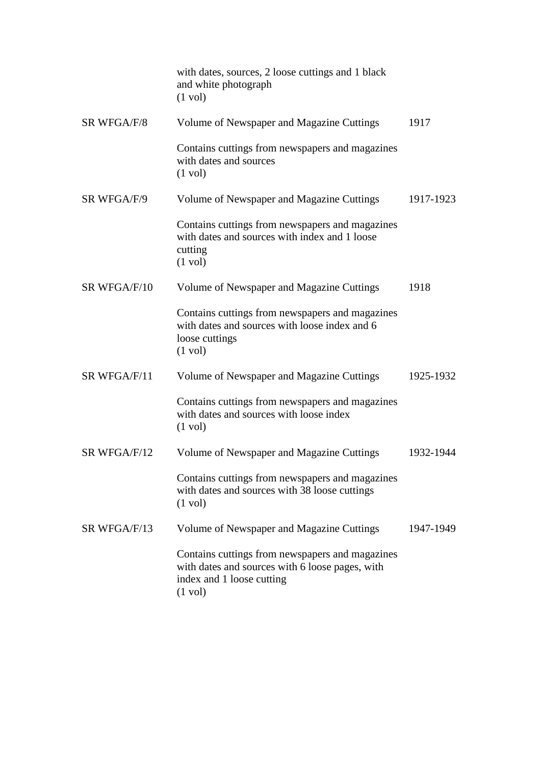|              | with dates, sources, 2 loose cuttings and 1 black<br>and white photograph<br>$(1 \text{ vol})$                                                       |           |  |
|--------------|------------------------------------------------------------------------------------------------------------------------------------------------------|-----------|--|
| SR WFGA/F/8  | Volume of Newspaper and Magazine Cuttings                                                                                                            | 1917      |  |
|              | Contains cuttings from newspapers and magazines<br>with dates and sources<br>$(1 \text{ vol})$                                                       |           |  |
| SR WFGA/F/9  | Volume of Newspaper and Magazine Cuttings                                                                                                            | 1917-1923 |  |
|              | Contains cuttings from newspapers and magazines<br>with dates and sources with index and 1 loose<br>cutting<br>$(1 \text{ vol})$                     |           |  |
| SR WFGA/F/10 | Volume of Newspaper and Magazine Cuttings                                                                                                            | 1918      |  |
|              | Contains cuttings from newspapers and magazines<br>with dates and sources with loose index and 6<br>loose cuttings<br>$(1 \text{ vol})$              |           |  |
| SR WFGA/F/11 | Volume of Newspaper and Magazine Cuttings                                                                                                            | 1925-1932 |  |
|              | Contains cuttings from newspapers and magazines<br>with dates and sources with loose index<br>$(1 \text{ vol})$                                      |           |  |
| SR WFGA/F/12 | Volume of Newspaper and Magazine Cuttings                                                                                                            | 1932-1944 |  |
|              | Contains cuttings from newspapers and magazines<br>with dates and sources with 38 loose cuttings<br>$(1 \text{ vol})$                                |           |  |
| SR WFGA/F/13 | Volume of Newspaper and Magazine Cuttings                                                                                                            | 1947-1949 |  |
|              | Contains cuttings from newspapers and magazines<br>with dates and sources with 6 loose pages, with<br>index and 1 loose cutting<br>$(1 \text{ vol})$ |           |  |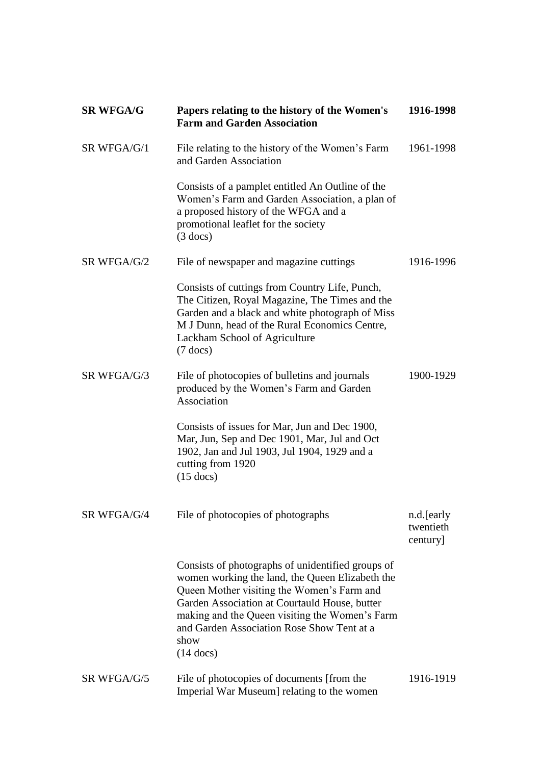| <b>SR WFGA/G</b> | Papers relating to the history of the Women's<br><b>Farm and Garden Association</b>                                                                                                                                                                                                                                                | 1916-1998                           |
|------------------|------------------------------------------------------------------------------------------------------------------------------------------------------------------------------------------------------------------------------------------------------------------------------------------------------------------------------------|-------------------------------------|
| SR WFGA/G/1      | File relating to the history of the Women's Farm<br>and Garden Association                                                                                                                                                                                                                                                         | 1961-1998                           |
|                  | Consists of a pamplet entitled An Outline of the<br>Women's Farm and Garden Association, a plan of<br>a proposed history of the WFGA and a<br>promotional leaflet for the society<br>$(3$ docs)                                                                                                                                    |                                     |
| SR WFGA/G/2      | File of newspaper and magazine cuttings                                                                                                                                                                                                                                                                                            | 1916-1996                           |
|                  | Consists of cuttings from Country Life, Punch,<br>The Citizen, Royal Magazine, The Times and the<br>Garden and a black and white photograph of Miss<br>M J Dunn, head of the Rural Economics Centre,<br>Lackham School of Agriculture<br>$(7$ docs)                                                                                |                                     |
| SR WFGA/G/3      | File of photocopies of bulletins and journals<br>produced by the Women's Farm and Garden<br>Association                                                                                                                                                                                                                            | 1900-1929                           |
|                  | Consists of issues for Mar, Jun and Dec 1900,<br>Mar, Jun, Sep and Dec 1901, Mar, Jul and Oct<br>1902, Jan and Jul 1903, Jul 1904, 1929 and a<br>cutting from 1920<br>$(15$ docs)                                                                                                                                                  |                                     |
| SR WFGA/G/4      | File of photocopies of photographs                                                                                                                                                                                                                                                                                                 | n.d.[early<br>twentieth<br>century] |
|                  | Consists of photographs of unidentified groups of<br>women working the land, the Queen Elizabeth the<br>Queen Mother visiting the Women's Farm and<br>Garden Association at Courtauld House, butter<br>making and the Queen visiting the Women's Farm<br>and Garden Association Rose Show Tent at a<br>show<br>$(14 \text{ docs})$ |                                     |
| SR WFGA/G/5      | File of photocopies of documents [from the<br>Imperial War Museum] relating to the women                                                                                                                                                                                                                                           | 1916-1919                           |